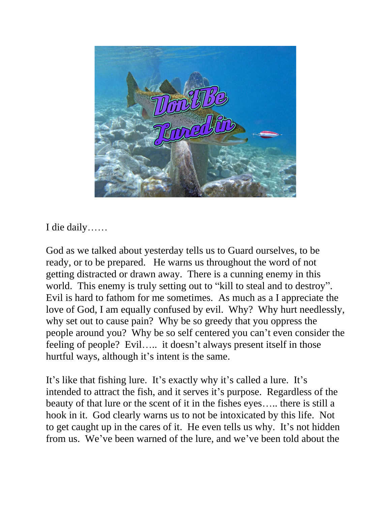

I die daily……

God as we talked about yesterday tells us to Guard ourselves, to be ready, or to be prepared. He warns us throughout the word of not getting distracted or drawn away. There is a cunning enemy in this world. This enemy is truly setting out to "kill to steal and to destroy". Evil is hard to fathom for me sometimes. As much as a I appreciate the love of God, I am equally confused by evil. Why? Why hurt needlessly, why set out to cause pain? Why be so greedy that you oppress the people around you? Why be so self centered you can't even consider the feeling of people? Evil….. it doesn't always present itself in those hurtful ways, although it's intent is the same.

It's like that fishing lure. It's exactly why it's called a lure. It's intended to attract the fish, and it serves it's purpose. Regardless of the beauty of that lure or the scent of it in the fishes eyes….. there is still a hook in it. God clearly warns us to not be intoxicated by this life. Not to get caught up in the cares of it. He even tells us why. It's not hidden from us. We've been warned of the lure, and we've been told about the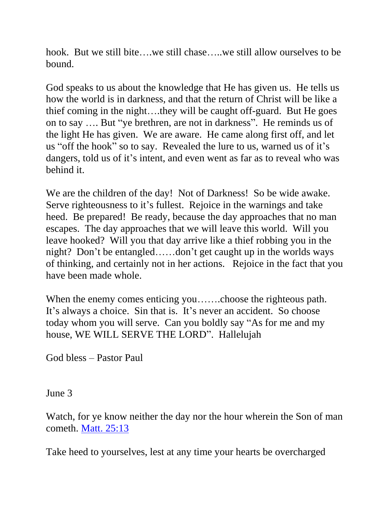hook. But we still bite….we still chase…..we still allow ourselves to be bound.

God speaks to us about the knowledge that He has given us. He tells us how the world is in darkness, and that the return of Christ will be like a thief coming in the night….they will be caught off-guard. But He goes on to say …. But "ye brethren, are not in darkness". He reminds us of the light He has given. We are aware. He came along first off, and let us "off the hook" so to say. Revealed the lure to us, warned us of it's dangers, told us of it's intent, and even went as far as to reveal who was behind it.

We are the children of the day! Not of Darkness! So be wide awake. Serve righteousness to it's fullest. Rejoice in the warnings and take heed. Be prepared! Be ready, because the day approaches that no man escapes. The day approaches that we will leave this world. Will you leave hooked? Will you that day arrive like a thief robbing you in the night? Don't be entangled……don't get caught up in the worlds ways of thinking, and certainly not in her actions. Rejoice in the fact that you have been made whole.

When the enemy comes enticing you…….choose the righteous path. It's always a choice. Sin that is. It's never an accident. So choose today whom you will serve. Can you boldly say "As for me and my house, WE WILL SERVE THE LORD". Hallelujah

God bless – Pastor Paul

June 3

Watch, for ye know neither the day nor the hour wherein the Son of man cometh. [Matt. 25:13](https://biblia.com/bible/nkjv/Matt.%2025.13)

Take heed to yourselves, lest at any time your hearts be overcharged